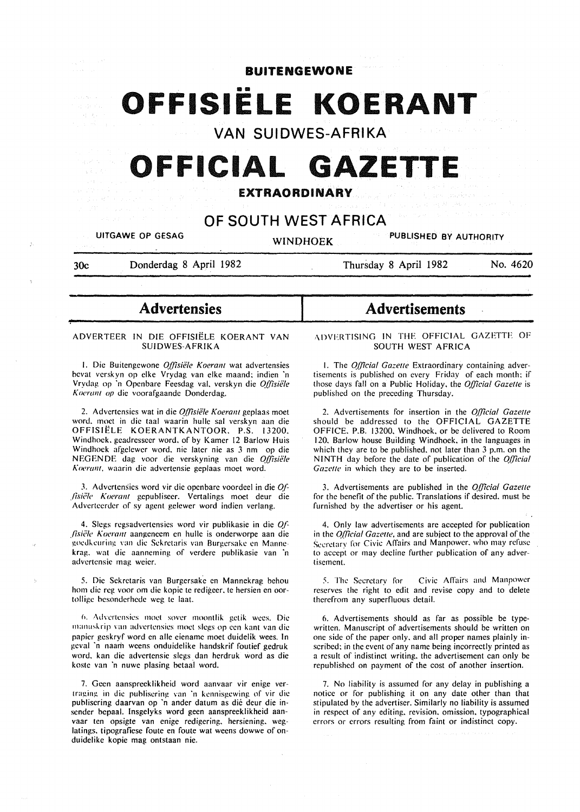$\frac{1}{2}$  ,  $\frac{1}{2}$ 

BUITENGEWONE

OFFISIELE KOERANT

VAN SUIDWES-AFRIKA

# **OFFICIAL GAZETTE**

# EXTRAORDINARY

# OF SOUTH WEST AFRICA

UITGAWE OP GESAG WINDHOEK PUBLISHED BY AUTHORITY

30c Donderdag 8 April 1982

Thursday 8 April 1982 No. 4620

**Advertensies** 

#### ADVERTEER IN DIE OFFISIELE KOERANT VAN SUIDWES-AFRIKA

I. Die Buitengewone *O.{(isie'le Koeranl* wat advertensies bevat verskyn op clke Vrydag van elke maand; indien 'n Vrydag op 'n Openbare Feesdag val. verskyn die Offisiële *Koerant op* die voorafgaande Donderdag.

2. Advertensies wat in die *Offisiële Koerant* geplaas moet word. moet in die taal waarin hulle sal verskyn aan die OFFISIELE KOERANTKANTOOR. P.S. 13200. Windhoek. geadresseer word. of by Kamer 12 Barlow Huis Windhoek afgelewer word. nie later nie as 3 nm op die NEG EN DE dag voor die verskyning van die *Qffisiele 1\oerant,* waarin die advertensie geplaas moet word.

3. Advertensies word vir die openbare voordeel in die Qf-*Jisii;le 1\oerant* gepubliseer. Vertalings moet deur die Adverteerder of sy agent gelewer word indien verlang.

4. Slegs regsadvertensies word vir publikasie in die  $Of$ -*Jisiële Koerant* aangeneem en hulle is onderworpe aan die goedkeuring van die Sekretaris van Burgersake en Mannekrag. wat die aanneming of verdere publikasie van 'n advertensie mag weier.

5. Die Sckretaris van Burgersakc en Mannekrag behou hom die reg voor om die kopie te redigeer. te hersien en oortolligc besonderhede weg te laat.

fl. Adn:rtcnsics moct sovcr moontlik gctik wces. Die manuskrip van advertensies moet slegs op een kant van die papicr gcskryf word en aile eiename moet duidelik wees. In gcval 'n naam weens onduidelike handskrif foutief gedruk word. kan die advertensie slegs dan herdruk word as die koste van 'n nuwe plasing betaal word.

7. Gcen aanspreeklikheid word aanvaar vir enige vertraging in die publisering van 'n kennisgewing of vir die publiscring daarvan op 'n ander datum as die deur die insender bepaal. Insgelyks word geen aanspreeklikheid aanvaar ten opsigte van enige redigering. hersiening. weglatings. tipografiese foute en foute wat weens dowwe of onduidelike kopie mag ontstaan nie.

# Advertisements

1\DVFRTISING IN THE OFFICIAL GAZETTE OF SOUTH WEST AFRICA

I. The *Qfficial Gazelle* Extraordinary containing advertisements is published on every Friday of each month; if those days fall on a Public Holiday. the *Official Gazelle* is published on the preceding Thursday.

2. Advertisements for insertion in the *Qfficial Gazelle*  should be addressed to the OFFICIAL GAZETTE OFFICE. P.B. 13200. Windhoek. or be delivered to Room 120. Barlow house Building Windhoek. in the languages in which they are to be published, not later than 3 p.m. on the NINTH day before the date of publication of the *Qfficial Gazelle* in which they are to be inserted.

3. Advertisements are published in the *Qfficial Gazelle*  for the benefit of the public. Translations if desired. must be furnished by the advertiser or his agent.

4. Only law advertisements are accepted for publication in the *Official Gazelle,* and are subject to the approval of the Secretary for Civic Affairs and Manpower, who may refuse to accept or may decline further publication of any advertisement.

5. The Secretary for Civic Affairs and Manpower reserves the right to edit and revise copy and to delete therefrom any superfluous detail.

6. Advertisements should as far as possible be typewritten. Manuscript of advertisements should be written on one side of the paper only. and all proper names plainly inscribed; in the event of any name being incorrectly printed as a result of indistinct writing. the advertisement can only be republished on payment of the cost of another insertion.

7. No liability is assumed for any delay in publishing a notice or for publishing it on any date other than that stipulated by the advertiser. Similarly no liability is assumed in respect of any editing. revision. omission. typographical errors or errors resulting from faint or indistinct copy.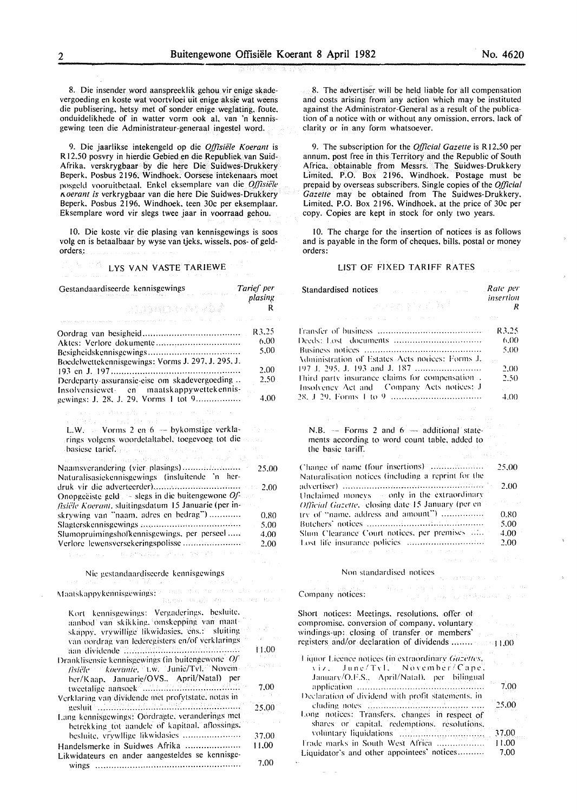8. Die insender word aanspreeklik gehou vir enige skadevergoeding en koste wat voortvloei uit enige aksie wat weens die publisering. hetsy met of sonder enige weglating. foute. onduidelikhede of in watter vorm ook al. van 'n kennisgewing teen die Administrateur-generaal ingestel word.

9. Die jaarlikse intekengeld op die *Offisiele Koerant* is R 12.50 posvry in hierdie Gebied en die Republiek van Suid-Afrika. verskrygbaar by die here Die Suidwes-Drukkery Beperk, Posbus 2196. Windhoek. Oorsese intekenaars moet posgeld vooruitbetaal. Enkel eksemplare van die *Offisiële Aoerant is* verkrygbaar van die here Die Suidwes-Drukkery Beperk. Posbus 2196. Windhoek. teen 30c per eksemplaar. Eksemplare word vir slegs twee jaar in voorraad gehou.

10. Die koste vir die plasing van kennisgewings is soos volg en is betaalbaar by wyse van tjeks. wissels. pos- of geldorders:

# **LYS VAN VASTE TARIEWE**

| Gestandaardiseerde kennisgewings                                                                                                                                                                                               | Tarief per |
|--------------------------------------------------------------------------------------------------------------------------------------------------------------------------------------------------------------------------------|------------|
|                                                                                                                                                                                                                                | plasing    |
| ง และเอล เกรจนั้นสื<br>a<br>Alamanya salah sahiji désa di k                                                                                                                                                                    | R          |
|                                                                                                                                                                                                                                | R3.25      |
| Aktes: Verlore dokumente                                                                                                                                                                                                       | 6.00       |
|                                                                                                                                                                                                                                | 5.00       |
| Boedelwettekennisgewings: Vorms J. 297, J. 295, J.                                                                                                                                                                             |            |
|                                                                                                                                                                                                                                | 2.00       |
| Derdeparty assuransie-eise om skadevergoeding<br>Insolvensiewet- en maatskappywettekennis-                                                                                                                                     | 2,50       |
| gewings: J. 28, J. 29, Vorms 1 tot 9                                                                                                                                                                                           | 4.00       |
| The AW CERT Conservation of MPLS                                                                                                                                                                                               |            |
| metal in tall design to                                                                                                                                                                                                        |            |
| L.W. $\sim$ Vorms 2 en 6 — bykomstige verkla-<br>rings volgens woordetaltabel, toegevoeg tot die                                                                                                                               |            |
|                                                                                                                                                                                                                                |            |
| basiese tarieflago, paddinas tradition, in a construction of the second state of the second state of the second state of the second state of the second state of the second state of the second state of the second state of t |            |
| Naamsverandering (vier plasings)                                                                                                                                                                                               | 25.00      |
| Naturalisasiekennisgewings (insluitende 'n her-                                                                                                                                                                                |            |
|                                                                                                                                                                                                                                | 2.00       |
| Onopgeëiste geld $\sim$ slegs in die buitengewone Of<br>fisiële Koerant, sluitingsdatum 15 Januarie (per in-                                                                                                                   |            |
| skrywing van "naam, adres en bedrag")                                                                                                                                                                                          | 0,80       |
|                                                                                                                                                                                                                                | -5.00      |
| Slumopruimingshofkennisgewings, per perseel                                                                                                                                                                                    | 4.00       |
|                                                                                                                                                                                                                                | 2.00       |
| Bugathyaday (Service 1997) Administration<br>para a construcción                                                                                                                                                               |            |
| Nie gestandaardiseerde kennisgewings                                                                                                                                                                                           |            |
|                                                                                                                                                                                                                                |            |
| Maatskappykeimisgewings?9 - 966. often the new seater each<br>interessingly group of the tract                                                                                                                                 |            |
| Kort kennisgewings: Vergaderings, besluite,                                                                                                                                                                                    |            |
| aanbod van skikking, omskepping van maat-                                                                                                                                                                                      |            |
| skappy, vrywillige likwidasies, ens.: sluiting                                                                                                                                                                                 |            |
| van oordrag van lederegisters en/of verklarings                                                                                                                                                                                | Daniel A   |
| aan dividende Treetheen Hermann herrichter                                                                                                                                                                                     | FL:00      |
| Dranklisensie kennisgewings (in buitengewone $[O]$<br>fisiële - koeranie, t.w. Junie/Tvl. Novem-                                                                                                                               |            |
|                                                                                                                                                                                                                                |            |
| ber/Kaap, Januarie/OVS., April/Natal) per<br>tweetalige aansoek                                                                                                                                                                | 7.00       |
| Verklaring van dividende met profytstate, notas in                                                                                                                                                                             |            |
| gesluit billindhiinimiden hexilindhiiden linn                                                                                                                                                                                  | 25,00      |
| Lang kennisgewings: Oordragte, veranderings met<br>betrekking tot aandele of kapitaal, aflossings.                                                                                                                             |            |
| besluite, vrywllige likwidasies                                                                                                                                                                                                | 37.00      |
| Handelsmerke in Suidwes Afrika                                                                                                                                                                                                 | 11,00      |
| Likwidateurs en ander aangesteldes se kennisge-                                                                                                                                                                                |            |
|                                                                                                                                                                                                                                | 7,00       |

8. The advertiser will be held liable for all compensation and costs arising from any action which may be instituted against the Administrator-General as a result of the publication of a notice with or without any omission. errors. lack of clarity or in any form whatsoever.

9. The subscription for the *Official Gazette* is R 12.50 per annum. post free in this Territory and the Republic of South Africa. obtainable from Messrs. The Suidwes-Drukkery Limited. P.O. Box 2196. Windhoek. Postage must be prepaid by overseas subscribers. Single copies of the *Official Gazette* may be obtained from The Suidwes-Drukkery. Limited. P.O. Box 2196. Windhoek, at the price of 30c per copy. Copies are kept in stock for only two years.

10. The charge for the insertion of notices is as follows and is payable in the form of cheques, bills. postal or money orders:

#### LIST OF FIXED TARIFF RATES

| Standardised notices<br>and the state of the state of the                                                            | Rate per       |
|----------------------------------------------------------------------------------------------------------------------|----------------|
| 计中继字程序解析                                                                                                             | insertion<br>R |
| and the contact of the contact of the contact of                                                                     |                |
|                                                                                                                      | R3.25          |
|                                                                                                                      | 6.00           |
|                                                                                                                      | 5.00           |
| Administration of Estates Acts notices: Forms J.                                                                     |                |
|                                                                                                                      | 2.00           |
| Third party insurance claims for compensation .                                                                      | 2.50           |
| Insolvency Act and Company Acts notices; J                                                                           |                |
|                                                                                                                      | 4.00           |
|                                                                                                                      |                |
| $\alpha$ , and $\alpha$ , and $\alpha$ , and $\alpha$                                                                |                |
| $N.B.$ -- Forms 2 and $6$ -- additional state-<br>ments according to word count table, added to<br>the basic tariff. |                |
| state of the first season                                                                                            |                |
| Change of name (four insertions) "manufactured<br>Naturalisation notices (including a reprint for the                | 25.00          |
|                                                                                                                      | 2.00           |
| Unclaimed moneys - only in the extraordinary                                                                         |                |
| Official Gazette, closing date 15 January (per en-                                                                   |                |
| try of "name, address and amount")                                                                                   | 0.80           |
|                                                                                                                      | 5.00           |
| Slum Clearance Court notices, per premises 22                                                                        | 4.00           |
| Lost life insurance policies                                                                                         | 2.00           |
| place the last of the second contract of the polarization of $\alpha$                                                |                |

#### Non standardised notices

Company notices:

Short notices: Meetings. resolutions. offer ot compromise. conversion of company. voluntary windings-up: closing of transfer or members· registers and/or declaration of dividends ........ 11.00 Liquor Licence notices (in extraordinary Gazettes, viz. June/Tvl. November/Cape. .lanuarv/O.F.S.. Aprii/Natall. per bilingual ;1pplication ............................................... . Declaration of dividend with profit statements, in cl11ding notL'S .......................................... . Long notices: Transfers. changes in respect of shares or capital. redemptions. resolutions. \·ohrntar~· liquidations ............................... . l'rade marks in South West Africa ................... Liquidator's and other appointees' notices ......... . 7.00 25.00 37.00 11.00 7.00

i<br>Kalendar territorium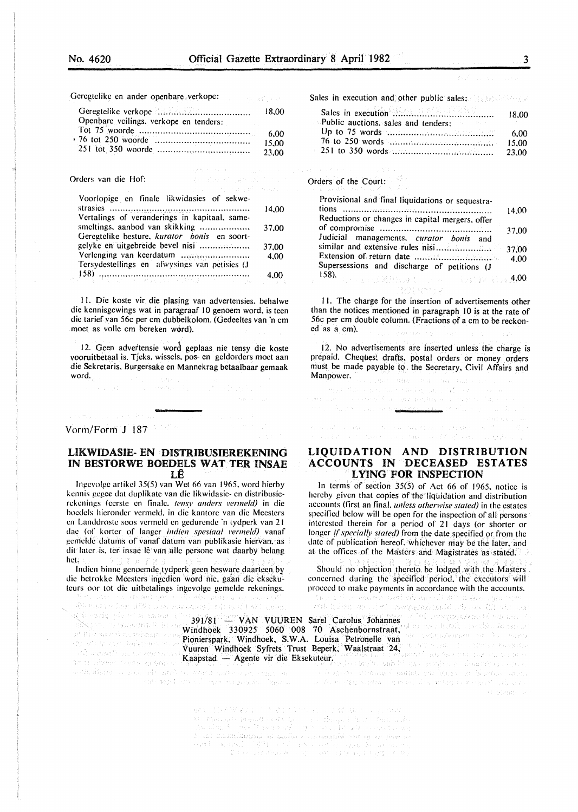Geregtelike en ander openbare verkope:

|                                        | 18.00 |
|----------------------------------------|-------|
| Openbare veilings, verkope en tenders: |       |
|                                        | 6.00  |
|                                        | 15.00 |
|                                        | 23.00 |

#### Orders van die Hof:

| Voorlopige en finale likwidasies of sekwe-    |       |
|-----------------------------------------------|-------|
|                                               | 14.00 |
| Vertalings of veranderings in kapitaal, same- |       |
| smeltings, aanbod van skikking                | 37.00 |
| Geregtelike besture, kurator bonis en soort-  |       |
|                                               | 37.00 |
|                                               | 4.00  |
| Tersydestellings en afwysings van petisies (J |       |
| $\ket{158}$                                   | 4.00  |

II. Die koste vir die plasing van advertensies. behalwe die kennisgewings wat in paragraaf 10 genoem word, is teen die tarief.van 56c per em dubbelkolom. (Gedeeltes van 'n em moet as volle cm bereken word).

12. Geen advertensie word geplaas nie tensy die koste vooruitbetaal is. Tjeks. wissels. pos- en geldorders moet aan die Sckretaris. Burgersake en Mannekrag betaalbaar gemaak word.

Such a Bearboard

#### Vorm/Forrn J 187

## UKWIDASIE- EN · **DISTRIBUSIEREKENING**  IN **BESTORWE BOEDELS WAT TER INSAE**   $L\hat{E}$

lngevolge artikel 35(5) van Wet 66 van 1965. word hierby kennis gegec dat duplikate van die likwidasie- en distribusierekenings (eerste en finale. tensy anders vermeld) in die boedels hieronder vermeld. in die kantore van die Meesters en Landdroste soos vermeld en gedurende 'n tydperk van 21 dae (of korter of Ianger *indien spesiaal vermeld)* vanaf gemelde datums of vanaf datum van publikasie hiervan. as dit later is, ter insae lê van alle persone wat daarby belang het.

lndien binne genocmdc tydperk gecn beswarc daarteen *b,y*  die betrokke Meesters ingedien word nie, gaan die eksekuteurs oor tot die uitbetalings ingevolge gemelde rekenings. worked and his first and a supervis

105 mag ethor 1894 Link Sanagary Sang in (L) Al Luning

391/81 - VAN VUUREN Sarel Carolus. Johannes Windhoek 330925 5060 008 70 Aschenbornstraat, Pionierspark. Windhoek, S.W.A. Louisa Petronelle van Vuuren Windhoek Syfrets Trust Beperk. Waalstraat 24, Kaapstad - Agente vir die Eksekuteur.

Sales in execution and other public sales:

|                                            | 18.00 |
|--------------------------------------------|-------|
| <b>Public auctions, sales and tenders:</b> |       |
|                                            | -6.00 |
|                                            |       |
|                                            |       |

Orders of the Court:

| Provisional and final liquidations or sequestra-        | 14.00 |
|---------------------------------------------------------|-------|
| Reductions or changes in capital mergers, offer         |       |
| Judicial managements, curator bonis and                 | 37.00 |
|                                                         | 37,00 |
| Supersessions and discharge of petitions (J             | 4.00  |
| 158).<br>. The probability of the probability of $4.00$ |       |

II. The charge for the insertion of advertisements other than the notices mentioned in paragraph 10 is at the rate of 56c per em double column. (Fractions of a em to be reckoned as a em).

and and sur-

12. No advertisements are inserted unless the charge is prepaid. Cheques! drafts, postal orders or money orders must be made payable to the Secretary, Civil Affairs and Manpower. The same state of the state and search

 $\mathcal{F}_{\mathcal{A}_1}$ 

المحاورين كحافظ المناور

 $\label{eq:1} \begin{array}{l} \left\langle \partial \chi_{\sigma} \right\rangle \left\langle \partial \chi_{\sigma} \right\rangle \left\langle \partial \chi_{\sigma} \right\rangle \left\langle \chi_{\sigma} \right\rangle \left\langle \chi_{\sigma} \right\rangle \left\langle \chi_{\sigma} \right\rangle \left\langle \chi_{\sigma} \right\rangle \left\langle \chi_{\sigma} \right\rangle \left\langle \chi_{\sigma} \right\rangle \right. \\ \left. \left. \left. \left( \partial \chi_{\sigma} \chi_{\sigma} \right) \right\rangle \left\langle \chi_{\sigma} \right\rangle \left\langle \chi_{\sigma} \right\rangle \left\langle \chi_{\sigma$ 

market when the common the company

**LIQUIDATION AND DISTRIBUTION ACCOUNTS IN DECEASED ESTATES LYING FOR INSPECTION** 

In terms of section 35(5) of Act 66 of 1965. notice is hereby given that copies of the liquidation and distribution accounts (first an final. *unless otherwise stated)* in the estates specified below will be open for the inspection of all persons interested therein for a period of 21 days (or shorter or longer *if specially stated*) from the date specified or from the date of publication hereof. whichever may be the later. and at the offices of the Masters and Magistrates as stated.

Should no objection thereto be lodged with the Masters concerned during the specified period. the executors will proceed to make payments in accordance with the accounts.<br>  $\mathbb{E}[\mathcal{L}(x)]$  is a constant and violation of  $\mathcal{L}(x)$  indicates  $\mathcal{L}(x)$  in the constant and only  $\mathcal{L}(x)$  is a constant and only in the constant and onl

ante sotal criscolo escreva parada. America e e la da valor algora e presal del artigua verma fecili alcaba e  $24\cdot 552322\cdot 12$ 

> 解释 计算机程序字符 医单位脑室 经公司 计模拟矩阵 计字母块 we there are denoted and can be a subsequently be a second control of the problem of the problem of the second control of the second control of the second control of the second control of the second control of the second  $\label{eq:optimal} \begin{split} \mathcal{A}_{\mathcal{C}}^{\mathcal{C}}(\mathbf{u},\mathbf{u})=\mathbf{u}_{\mathcal{C}}^{\mathcal{C}}(\mathbf{u},\mathbf{u})=\mathbf{u}_{\mathcal{C}}^{\mathcal{C}}(\mathbf{u},\mathbf{u})=\mathbf{u}_{\mathcal{C}}^{\mathcal{C}}(\mathbf{u},\mathbf{u})+\mathbf{u}_{\mathcal{C}}^{\mathcal{C}}(\mathbf{u},\mathbf{u})+\mathbf{u}_{\mathcal{C}}^{\mathcal{C}}(\mathbf{u},\mathbf{u})+\mathbf{u}_{\mathcal{C}}^{\mathcal{C}}(\math$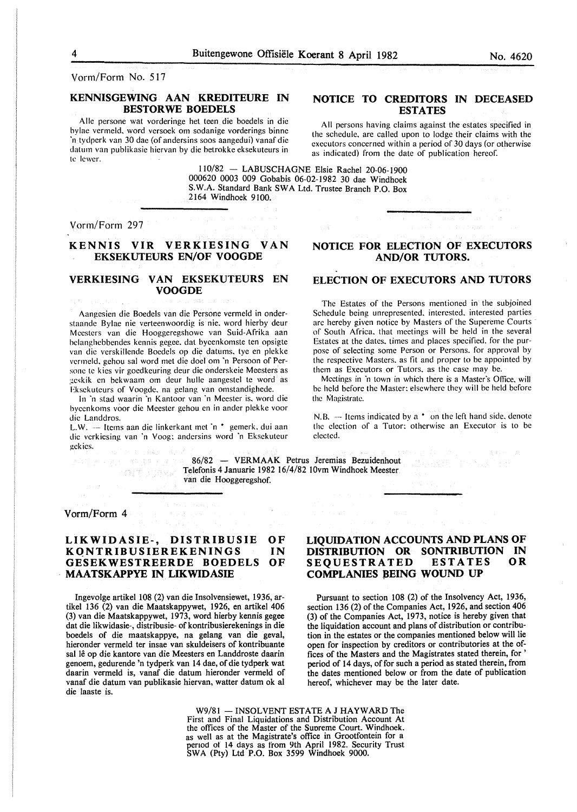Vorm/Form No. 517

# KENNISGEWING AAN KREDITEURE IN BESTORWE BOEDELS

Aile persone wat vorderinge het teen die boedels in die hylae vermeld, word versoek om sodanige vorderings binne 'n tydperk van 30 dae (of andersins soos aangedui) vanaf die datum van publikasie hiervan by die hetrokke eksekuteurs in te lewer.

## NOTICE TO CREDITORS IN DECEASED ESTATES

All persons having claims against the estates specified in the schedule, are called upon to lodge their claims with the executors concerned within a period of 30 days (or otherwise as indicated) from the date of publication hereof.

110/82 - LABUSCHAGNE Elsie Rachel 20-06-1900 000620 0003 009 Gobabis 06-02-1982 30 dae Windhoek S.W.A. Standard Bank SW A Ltd. Trustee Branch P.O. Box 2164 Windhoek 9100.

Vorm/Form 297

# KENNIS VIR VERKIESING VAN EKSEKUTEURS EN/OF VOOGDE

# VERKIESING VAN EKSEKUTEURS EN VOOGDE

Aangcsien die Boedels van die Persone vermeld in onderstaandc Bylae nie verteenwoordig is nie. word hierby deur Mcestcrs van die Hooggeregshowc van Suid-Afrika aan hclanghcbbendes kennis gegee. dat bycenkomste ten opsigte van die verskillende Boedels op die datums. tye en plekke vermeld, gehou sal word met die doel om 'n Persoon of Personc te kies vir goedkeuring deur die onderskeie Meesters as ;!eskik en bekwaam om deur hullc aangestel te word as Eksckuteurs of Voogde. na gelang van omstandighede.

In 'n stad waarin 'n Kantoor van 'n Meester is, word die hyecnkoms voor die Meester gehou en in ander plekke voor die Landdros.

L.W. -- Items aan die linkerkant met 'n \* gemerk, dui aan die vcrkiesing van 'n Voog: andersins word 'n Eksekuteur gekics.

### 86/82 - VERMAAK Petrus Jeremias Bezuidenhout Telefonis 4 Januarie 1982 16/4/82 IOvm Windhoek Meester. van die Hooggeregshof.

Vorm/Form 4

#### LIKWIDASIE-, DISTRIBUSIE KQNTRIBUSIEREKENINGS GESEKWESTREERDE BOEDELS MAATSKAPPYE IN LIKWIDASIE OF IN OF

lngevolge artikel 108 (2) van die Insolvensiewet, 1936, artikel 136 (2) van die Maatskappywet, 1926, en artikel 406 (3) van die Maatskappywet, 1973, word hierby kennis gegee dat die likwidasie-, distribusie- of kontribusierekenings in die boedels of die maatskappye, na gelang van die geval, hieronder vermeld ter insae van skuldeisers of kontribuante sal lê op die kantore van die Meesters en Landdroste daarin genoem, gedurende 'n tydperk van 14 dae, of die tydperk wat daarin vermeld is, vanaf die datum hieronder vermeld of vanaf die datum van publikasie hiervan, watter datum ok al die laaste is.

# LIQUIDATION ACCOUNTS AND PLANS OF DISTRIBUTION OR SONTRIBUTION IN SEQUESTRATED ESTATES OR COMPLANIES BEING WOUND UP

Pursuant to section 108 (2) of the Insolvency Act, 1936, section 136 (2) of the Companies Act, 1926, and section 406 (3) of the Companies Act, 1973, notice is hereby given that the liquidation account and plans of distribution or contribution in the estates or the companies mentioned below will lie open for inspection by creditors or contributories at the offices of the Masters and the Magistrates stated therein, for ' period of 14 days, of for such a period as stated therein, from the dates mentioned below or from the date of publication hereof, whichever may be the later date.

W9/81 - INSOLVENT ESTATE A J HAYWARD The First and Final Liquidations and Distribution Account At the offices of the Master of the Supreme Court. Windhoek. the offices of the Master of the Suoreme Court. Windhoek. as well as at the Magistrate's office in Grootfontein for a penod or 14 days as from 9th April 1982. Security Trust SWA (Pty) Ltd P.O. Box 3599 Windhoek 9000.

NOTICE FOR ELECTION OF EXECUTORS AND/OR TUTORS.

# ELECTION OF EXECUTORS AND TUTORS

The Estates of the Persons mentioned in the subjoined Schedule being unrepresented. interested. interested parties arc hereby given notice by Masters of the Supcreme Courts of South Africa. that meetings will be held in the several Estates at the dates. times and places specified. for the purpose of selecting some Person or Persons. for approval by the respective Masters. as fit and proper to be appointed by them as Executors or Tutors. as the case may be.

Meetings in "n town in which there is a Master's Office. will he held before the Master: elsewhere they will be held before the Magistrate.

N.B.  $-$  Items indicated by a  $*$  on the left hand side, denote the election of a Tutor: otherwise an Executor is to be elected.